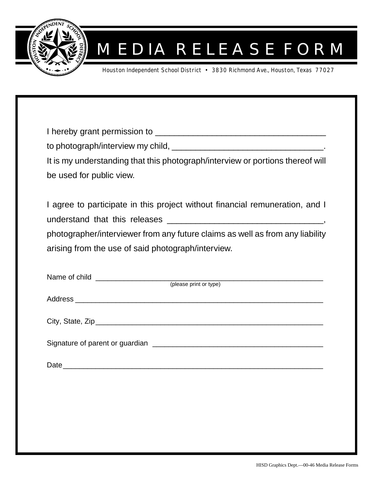

## MEDIA RELEASE FORM

Houston Independent School District • 3830 Richmond Ave., Houston, Texas 77027

| It is my understanding that this photograph/interview or portions thereof will |
|--------------------------------------------------------------------------------|
| be used for public view.                                                       |
|                                                                                |
| I agree to participate in this project without financial remuneration, and I   |
|                                                                                |
| photographer/interviewer from any future claims as well as from any liability  |
| arising from the use of said photograph/interview.                             |
|                                                                                |
|                                                                                |
| (please print or type)                                                         |
| Address                                                                        |

City, State, Zip\_\_\_\_\_\_\_\_\_\_\_\_\_\_\_\_\_\_\_\_\_\_\_\_\_\_\_\_\_\_\_\_\_\_\_\_\_\_\_\_\_\_\_\_\_\_\_\_\_\_\_\_\_\_\_\_

Signature of parent or guardian \_\_\_\_\_\_\_\_\_\_\_\_\_\_\_\_\_\_\_\_\_\_\_\_\_\_\_\_\_\_\_\_\_\_\_\_\_\_\_\_\_\_

Date\_\_\_\_\_\_\_\_\_\_\_\_\_\_\_\_\_\_\_\_\_\_\_\_\_\_\_\_\_\_\_\_\_\_\_\_\_\_\_\_\_\_\_\_\_\_\_\_\_\_\_\_\_\_\_\_\_\_\_\_\_\_\_\_